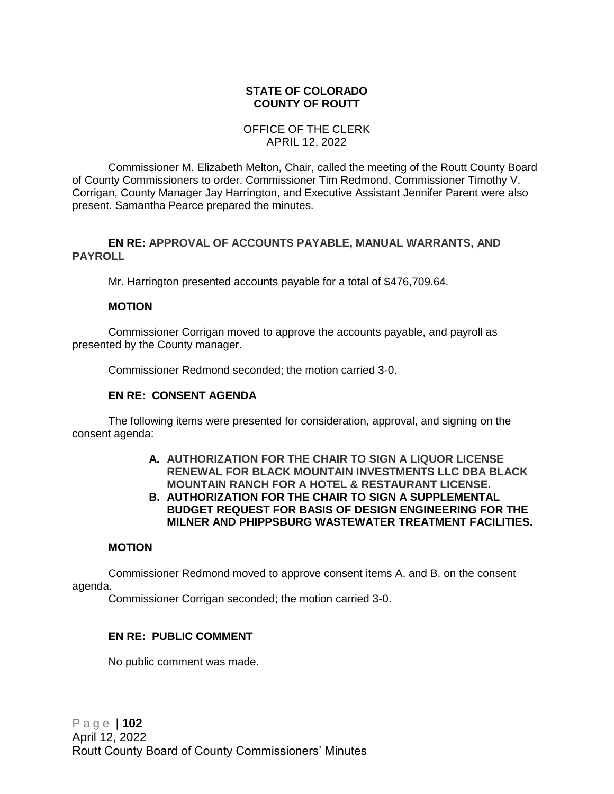# **STATE OF COLORADO COUNTY OF ROUTT**

# OFFICE OF THE CLERK APRIL 12, 2022

Commissioner M. Elizabeth Melton, Chair, called the meeting of the Routt County Board of County Commissioners to order. Commissioner Tim Redmond, Commissioner Timothy V. Corrigan, County Manager Jay Harrington, and Executive Assistant Jennifer Parent were also present. Samantha Pearce prepared the minutes.

# **EN RE: APPROVAL OF ACCOUNTS PAYABLE, MANUAL WARRANTS, AND PAYROLL**

Mr. Harrington presented accounts payable for a total of \$476,709.64.

# **MOTION**

Commissioner Corrigan moved to approve the accounts payable, and payroll as presented by the County manager.

Commissioner Redmond seconded; the motion carried 3-0.

# **EN RE: CONSENT AGENDA**

The following items were presented for consideration, approval, and signing on the consent agenda:

- **A. AUTHORIZATION FOR THE CHAIR TO SIGN A LIQUOR LICENSE RENEWAL FOR BLACK MOUNTAIN INVESTMENTS LLC DBA BLACK MOUNTAIN RANCH FOR A HOTEL & RESTAURANT LICENSE.**
- **B. AUTHORIZATION FOR THE CHAIR TO SIGN A SUPPLEMENTAL BUDGET REQUEST FOR BASIS OF DESIGN ENGINEERING FOR THE MILNER AND PHIPPSBURG WASTEWATER TREATMENT FACILITIES.**

# **MOTION**

Commissioner Redmond moved to approve consent items A. and B. on the consent agenda.

Commissioner Corrigan seconded; the motion carried 3-0.

# **EN RE: PUBLIC COMMENT**

No public comment was made.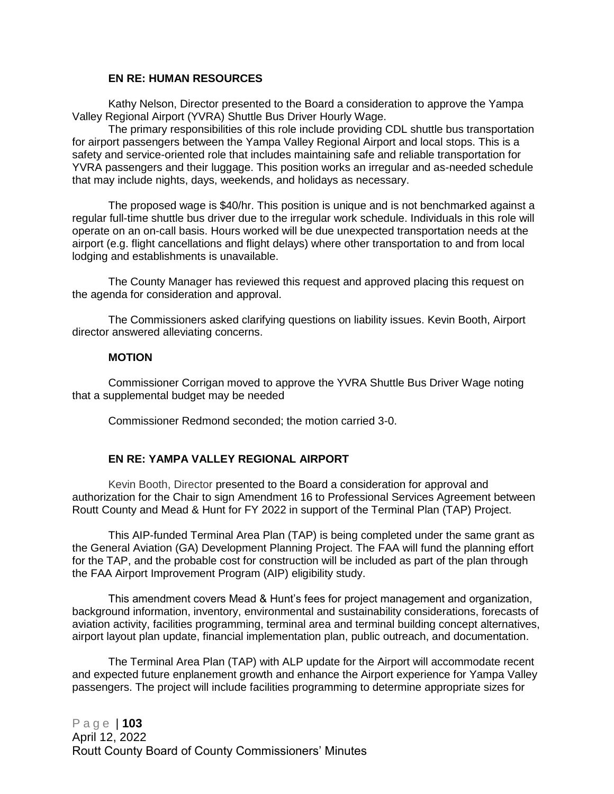#### **EN RE: HUMAN RESOURCES**

Kathy Nelson, Director presented to the Board a consideration to approve the Yampa Valley Regional Airport (YVRA) Shuttle Bus Driver Hourly Wage.

The primary responsibilities of this role include providing CDL shuttle bus transportation for airport passengers between the Yampa Valley Regional Airport and local stops. This is a safety and service-oriented role that includes maintaining safe and reliable transportation for YVRA passengers and their luggage. This position works an irregular and as-needed schedule that may include nights, days, weekends, and holidays as necessary.

The proposed wage is \$40/hr. This position is unique and is not benchmarked against a regular full-time shuttle bus driver due to the irregular work schedule. Individuals in this role will operate on an on-call basis. Hours worked will be due unexpected transportation needs at the airport (e.g. flight cancellations and flight delays) where other transportation to and from local lodging and establishments is unavailable.

The County Manager has reviewed this request and approved placing this request on the agenda for consideration and approval.

The Commissioners asked clarifying questions on liability issues. Kevin Booth, Airport director answered alleviating concerns.

#### **MOTION**

Commissioner Corrigan moved to approve the YVRA Shuttle Bus Driver Wage noting that a supplemental budget may be needed

Commissioner Redmond seconded; the motion carried 3-0.

#### **EN RE: YAMPA VALLEY REGIONAL AIRPORT**

Kevin Booth, Director presented to the Board a consideration for approval and authorization for the Chair to sign Amendment 16 to Professional Services Agreement between Routt County and Mead & Hunt for FY 2022 in support of the Terminal Plan (TAP) Project.

This AIP-funded Terminal Area Plan (TAP) is being completed under the same grant as the General Aviation (GA) Development Planning Project. The FAA will fund the planning effort for the TAP, and the probable cost for construction will be included as part of the plan through the FAA Airport Improvement Program (AIP) eligibility study.

This amendment covers Mead & Hunt's fees for project management and organization, background information, inventory, environmental and sustainability considerations, forecasts of aviation activity, facilities programming, terminal area and terminal building concept alternatives, airport layout plan update, financial implementation plan, public outreach, and documentation.

The Terminal Area Plan (TAP) with ALP update for the Airport will accommodate recent and expected future enplanement growth and enhance the Airport experience for Yampa Valley passengers. The project will include facilities programming to determine appropriate sizes for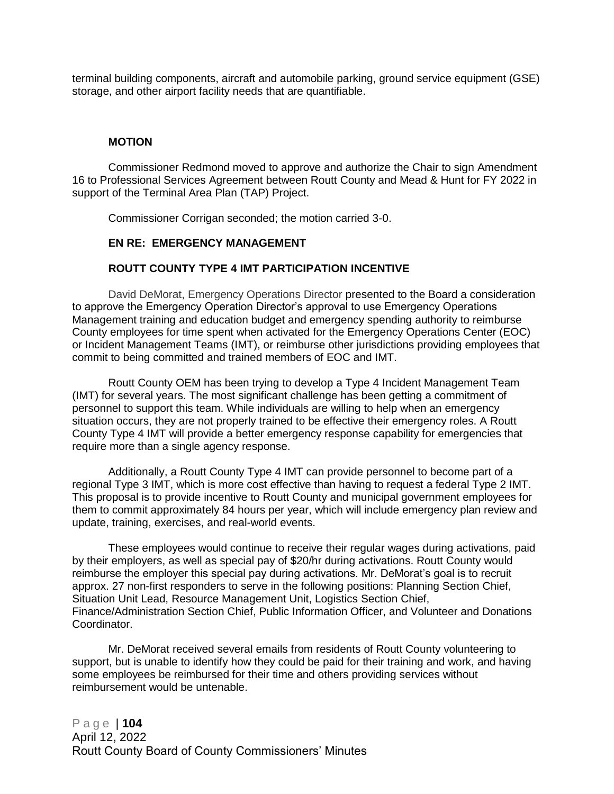terminal building components, aircraft and automobile parking, ground service equipment (GSE) storage, and other airport facility needs that are quantifiable.

#### **MOTION**

Commissioner Redmond moved to approve and authorize the Chair to sign Amendment 16 to Professional Services Agreement between Routt County and Mead & Hunt for FY 2022 in support of the Terminal Area Plan (TAP) Project.

Commissioner Corrigan seconded; the motion carried 3-0.

#### **EN RE: EMERGENCY MANAGEMENT**

#### **ROUTT COUNTY TYPE 4 IMT PARTICIPATION INCENTIVE**

David DeMorat, Emergency Operations Director presented to the Board a consideration to approve the Emergency Operation Director's approval to use Emergency Operations Management training and education budget and emergency spending authority to reimburse County employees for time spent when activated for the Emergency Operations Center (EOC) or Incident Management Teams (IMT), or reimburse other jurisdictions providing employees that commit to being committed and trained members of EOC and IMT.

Routt County OEM has been trying to develop a Type 4 Incident Management Team (IMT) for several years. The most significant challenge has been getting a commitment of personnel to support this team. While individuals are willing to help when an emergency situation occurs, they are not properly trained to be effective their emergency roles. A Routt County Type 4 IMT will provide a better emergency response capability for emergencies that require more than a single agency response.

Additionally, a Routt County Type 4 IMT can provide personnel to become part of a regional Type 3 IMT, which is more cost effective than having to request a federal Type 2 IMT. This proposal is to provide incentive to Routt County and municipal government employees for them to commit approximately 84 hours per year, which will include emergency plan review and update, training, exercises, and real-world events.

These employees would continue to receive their regular wages during activations, paid by their employers, as well as special pay of \$20/hr during activations. Routt County would reimburse the employer this special pay during activations. Mr. DeMorat's goal is to recruit approx. 27 non-first responders to serve in the following positions: Planning Section Chief, Situation Unit Lead, Resource Management Unit, Logistics Section Chief, Finance/Administration Section Chief, Public Information Officer, and Volunteer and Donations Coordinator.

Mr. DeMorat received several emails from residents of Routt County volunteering to support, but is unable to identify how they could be paid for their training and work, and having some employees be reimbursed for their time and others providing services without reimbursement would be untenable.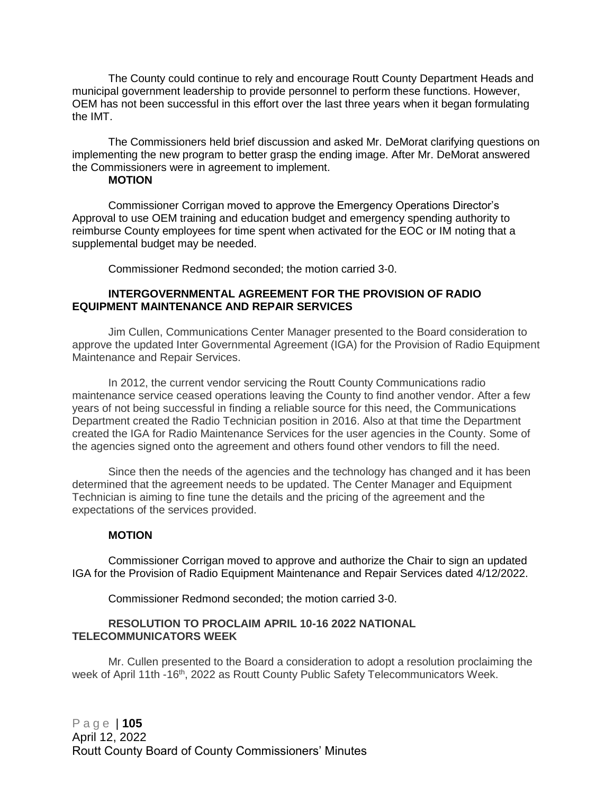The County could continue to rely and encourage Routt County Department Heads and municipal government leadership to provide personnel to perform these functions. However, OEM has not been successful in this effort over the last three years when it began formulating the IMT.

The Commissioners held brief discussion and asked Mr. DeMorat clarifying questions on implementing the new program to better grasp the ending image. After Mr. DeMorat answered the Commissioners were in agreement to implement.

#### **MOTION**

Commissioner Corrigan moved to approve the Emergency Operations Director's Approval to use OEM training and education budget and emergency spending authority to reimburse County employees for time spent when activated for the EOC or IM noting that a supplemental budget may be needed.

Commissioner Redmond seconded; the motion carried 3-0.

#### **INTERGOVERNMENTAL AGREEMENT FOR THE PROVISION OF RADIO EQUIPMENT MAINTENANCE AND REPAIR SERVICES**

Jim Cullen, Communications Center Manager presented to the Board consideration to approve the updated Inter Governmental Agreement (IGA) for the Provision of Radio Equipment Maintenance and Repair Services.

In 2012, the current vendor servicing the Routt County Communications radio maintenance service ceased operations leaving the County to find another vendor. After a few years of not being successful in finding a reliable source for this need, the Communications Department created the Radio Technician position in 2016. Also at that time the Department created the IGA for Radio Maintenance Services for the user agencies in the County. Some of the agencies signed onto the agreement and others found other vendors to fill the need.

Since then the needs of the agencies and the technology has changed and it has been determined that the agreement needs to be updated. The Center Manager and Equipment Technician is aiming to fine tune the details and the pricing of the agreement and the expectations of the services provided.

# **MOTION**

Commissioner Corrigan moved to approve and authorize the Chair to sign an updated IGA for the Provision of Radio Equipment Maintenance and Repair Services dated 4/12/2022.

Commissioner Redmond seconded; the motion carried 3-0.

#### **RESOLUTION TO PROCLAIM APRIL 10-16 2022 NATIONAL TELECOMMUNICATORS WEEK**

Mr. Cullen presented to the Board a consideration to adopt a resolution proclaiming the week of April 11th -16<sup>th</sup>, 2022 as Routt County Public Safety Telecommunicators Week.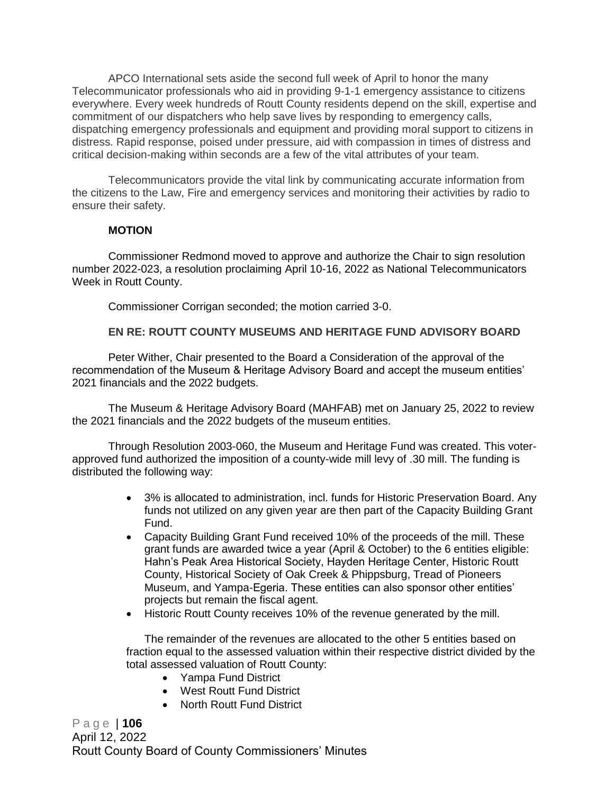APCO International sets aside the second full week of April to honor the many Telecommunicator professionals who aid in providing 9-1-1 emergency assistance to citizens everywhere. Every week hundreds of Routt County residents depend on the skill, expertise and commitment of our dispatchers who help save lives by responding to emergency calls, dispatching emergency professionals and equipment and providing moral support to citizens in distress. Rapid response, poised under pressure, aid with compassion in times of distress and critical decision-making within seconds are a few of the vital attributes of your team.

Telecommunicators provide the vital link by communicating accurate information from the citizens to the Law, Fire and emergency services and monitoring their activities by radio to ensure their safety.

#### **MOTION**

Commissioner Redmond moved to approve and authorize the Chair to sign resolution number 2022-023, a resolution proclaiming April 10-16, 2022 as National Telecommunicators Week in Routt County.

Commissioner Corrigan seconded; the motion carried 3-0.

# **EN RE: ROUTT COUNTY MUSEUMS AND HERITAGE FUND ADVISORY BOARD**

Peter Wither, Chair presented to the Board a Consideration of the approval of the recommendation of the Museum & Heritage Advisory Board and accept the museum entities' 2021 financials and the 2022 budgets.

The Museum & Heritage Advisory Board (MAHFAB) met on January 25, 2022 to review the 2021 financials and the 2022 budgets of the museum entities.

Through Resolution 2003-060, the Museum and Heritage Fund was created. This voterapproved fund authorized the imposition of a county-wide mill levy of .30 mill. The funding is distributed the following way:

- 3% is allocated to administration, incl. funds for Historic Preservation Board. Any funds not utilized on any given year are then part of the Capacity Building Grant Fund.
- Capacity Building Grant Fund received 10% of the proceeds of the mill. These grant funds are awarded twice a year (April & October) to the 6 entities eligible: Hahn's Peak Area Historical Society, Hayden Heritage Center, Historic Routt County, Historical Society of Oak Creek & Phippsburg, Tread of Pioneers Museum, and Yampa-Egeria. These entities can also sponsor other entities' projects but remain the fiscal agent.
- Historic Routt County receives 10% of the revenue generated by the mill.

The remainder of the revenues are allocated to the other 5 entities based on fraction equal to the assessed valuation within their respective district divided by the total assessed valuation of Routt County:

- Yampa Fund District
- West Routt Fund District
- North Routt Fund District

P a g e | **106** April 12, 2022 Routt County Board of County Commissioners' Minutes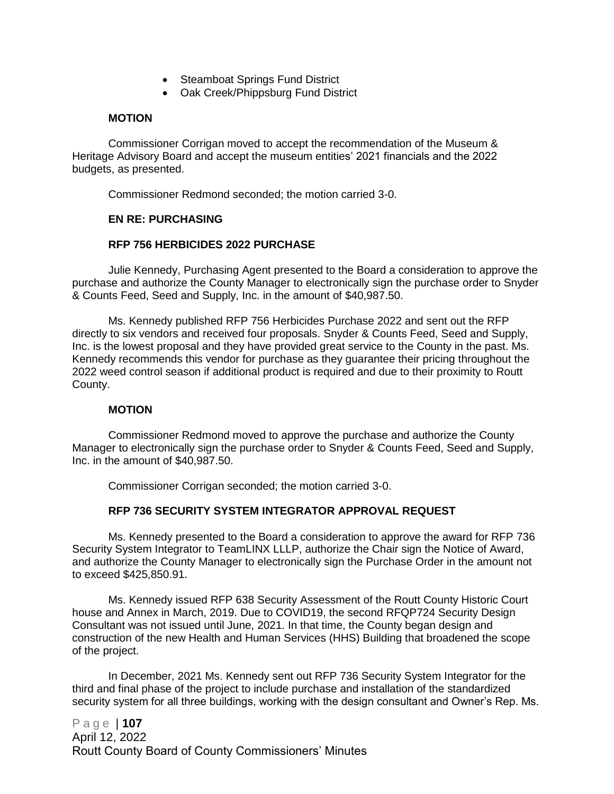- Steamboat Springs Fund District
- Oak Creek/Phippsburg Fund District

#### **MOTION**

Commissioner Corrigan moved to accept the recommendation of the Museum & Heritage Advisory Board and accept the museum entities' 2021 financials and the 2022 budgets, as presented.

Commissioner Redmond seconded; the motion carried 3-0.

#### **EN RE: PURCHASING**

# **RFP 756 HERBICIDES 2022 PURCHASE**

Julie Kennedy, Purchasing Agent presented to the Board a consideration to approve the purchase and authorize the County Manager to electronically sign the purchase order to Snyder & Counts Feed, Seed and Supply, Inc. in the amount of \$40,987.50.

Ms. Kennedy published RFP 756 Herbicides Purchase 2022 and sent out the RFP directly to six vendors and received four proposals. Snyder & Counts Feed, Seed and Supply, Inc. is the lowest proposal and they have provided great service to the County in the past. Ms. Kennedy recommends this vendor for purchase as they guarantee their pricing throughout the 2022 weed control season if additional product is required and due to their proximity to Routt County.

# **MOTION**

Commissioner Redmond moved to approve the purchase and authorize the County Manager to electronically sign the purchase order to Snyder & Counts Feed, Seed and Supply, Inc. in the amount of \$40,987.50.

Commissioner Corrigan seconded; the motion carried 3-0.

# **RFP 736 SECURITY SYSTEM INTEGRATOR APPROVAL REQUEST**

Ms. Kennedy presented to the Board a consideration to approve the award for RFP 736 Security System Integrator to TeamLINX LLLP, authorize the Chair sign the Notice of Award, and authorize the County Manager to electronically sign the Purchase Order in the amount not to exceed \$425,850.91.

Ms. Kennedy issued RFP 638 Security Assessment of the Routt County Historic Court house and Annex in March, 2019. Due to COVID19, the second RFQP724 Security Design Consultant was not issued until June, 2021. In that time, the County began design and construction of the new Health and Human Services (HHS) Building that broadened the scope of the project.

In December, 2021 Ms. Kennedy sent out RFP 736 Security System Integrator for the third and final phase of the project to include purchase and installation of the standardized security system for all three buildings, working with the design consultant and Owner's Rep. Ms.

P a g e | **107** April 12, 2022 Routt County Board of County Commissioners' Minutes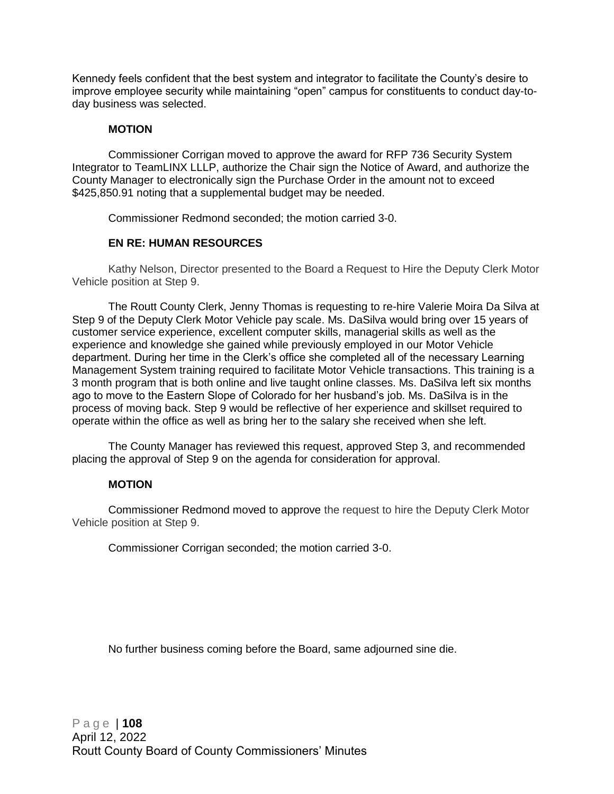Kennedy feels confident that the best system and integrator to facilitate the County's desire to improve employee security while maintaining "open" campus for constituents to conduct day-today business was selected.

# **MOTION**

Commissioner Corrigan moved to approve the award for RFP 736 Security System Integrator to TeamLINX LLLP, authorize the Chair sign the Notice of Award, and authorize the County Manager to electronically sign the Purchase Order in the amount not to exceed \$425,850.91 noting that a supplemental budget may be needed.

Commissioner Redmond seconded; the motion carried 3-0.

# **EN RE: HUMAN RESOURCES**

Kathy Nelson, Director presented to the Board a Request to Hire the Deputy Clerk Motor Vehicle position at Step 9.

The Routt County Clerk, Jenny Thomas is requesting to re-hire Valerie Moira Da Silva at Step 9 of the Deputy Clerk Motor Vehicle pay scale. Ms. DaSilva would bring over 15 years of customer service experience, excellent computer skills, managerial skills as well as the experience and knowledge she gained while previously employed in our Motor Vehicle department. During her time in the Clerk's office she completed all of the necessary Learning Management System training required to facilitate Motor Vehicle transactions. This training is a 3 month program that is both online and live taught online classes. Ms. DaSilva left six months ago to move to the Eastern Slope of Colorado for her husband's job. Ms. DaSilva is in the process of moving back. Step 9 would be reflective of her experience and skillset required to operate within the office as well as bring her to the salary she received when she left.

The County Manager has reviewed this request, approved Step 3, and recommended placing the approval of Step 9 on the agenda for consideration for approval.

#### **MOTION**

Commissioner Redmond moved to approve the request to hire the Deputy Clerk Motor Vehicle position at Step 9.

Commissioner Corrigan seconded; the motion carried 3-0.

No further business coming before the Board, same adjourned sine die.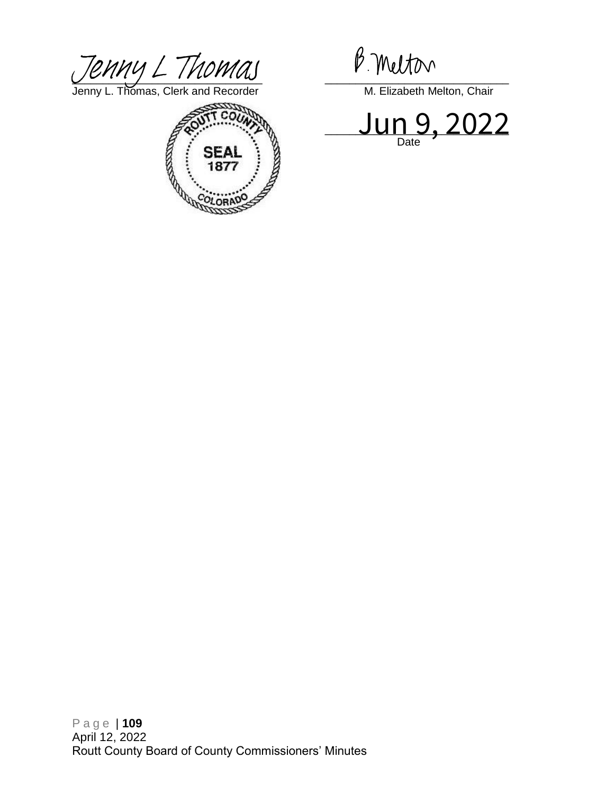$U$ *Jenny L. Thomas*, Clerk and Recorder M. Elizabeth Melton, Chair

Jenny L. Thomas, Clerk and Recorder Muslem Communication, Chair



 $\sqcup$ ull J, ZUZZ Date

P a g e | **109** April 12, 2022 Routt County Board of County Commissioners' Minutes